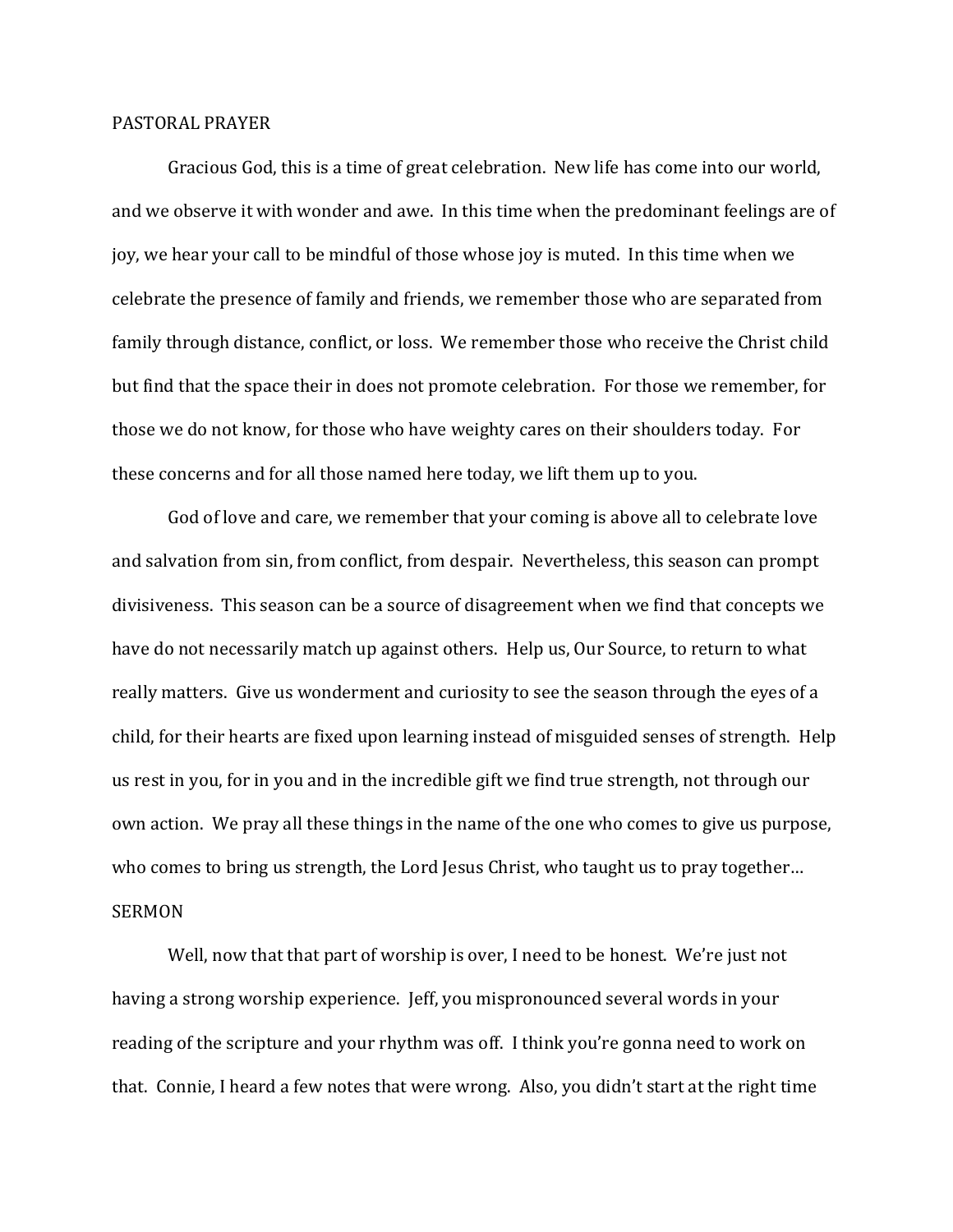## PASTORAL PRAYER

 Gracious God, this is a time of great celebration. New life has come into our world, and we observe it with wonder and awe. In this time when the predominant feelings are of joy, we hear your call to be mindful of those whose joy is muted. In this time when we celebrate the presence of family and friends, we remember those who are separated from family through distance, conflict, or loss. We remember those who receive the Christ child but find that the space their in does not promote celebration. For those we remember, for those we do not know, for those who have weighty cares on their shoulders today. For these concerns and for all those named here today, we lift them up to you.

 God of love and care, we remember that your coming is above all to celebrate love and salvation from sin, from conflict, from despair. Nevertheless, this season can prompt divisiveness. This season can be a source of disagreement when we find that concepts we have do not necessarily match up against others. Help us, Our Source, to return to what really matters. Give us wonderment and curiosity to see the season through the eyes of a child, for their hearts are fixed upon learning instead of misguided senses of strength. Help us rest in you, for in you and in the incredible gift we find true strength, not through our own action. We pray all these things in the name of the one who comes to give us purpose, who comes to bring us strength, the Lord Jesus Christ, who taught us to pray together... SERMON

Well, now that that part of worship is over, I need to be honest. We're just not having a strong worship experience. Jeff, you mispronounced several words in your reading of the scripture and your rhythm was off. I think you're gonna need to work on that. Connie, I heard a few notes that were wrong. Also, you didn't start at the right time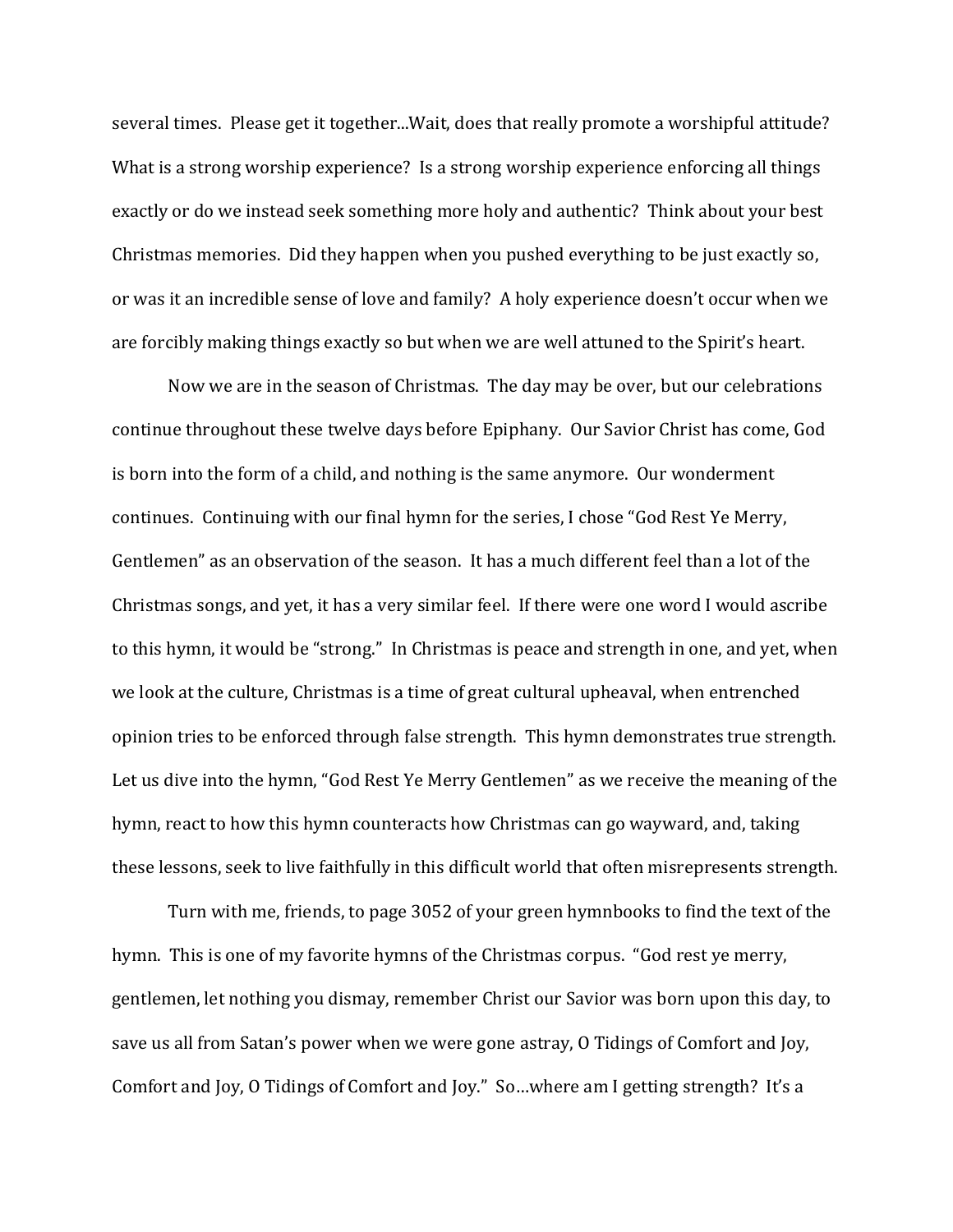several times. Please get it together...Wait, does that really promote a worshipful attitude? What is a strong worship experience? Is a strong worship experience enforcing all things exactly or do we instead seek something more holy and authentic? Think about your best Christmas memories. Did they happen when you pushed everything to be just exactly so, or was it an incredible sense of love and family? A holy experience doesn't occur when we are forcibly making things exactly so but when we are well attuned to the Spirit's heart.

 Now we are in the season of Christmas. The day may be over, but our celebrations continue throughout these twelve days before Epiphany. Our Savior Christ has come, God is born into the form of a child, and nothing is the same anymore. Our wonderment continues. Continuing with our final hymn for the series, I chose "God Rest Ye Merry, Gentlemen" as an observation of the season. It has a much different feel than a lot of the Christmas songs, and yet, it has a very similar feel. If there were one word I would ascribe to this hymn, it would be "strong." In Christmas is peace and strength in one, and yet, when we look at the culture, Christmas is a time of great cultural upheaval, when entrenched opinion tries to be enforced through false strength. This hymn demonstrates true strength. Let us dive into the hymn, "God Rest Ye Merry Gentlemen" as we receive the meaning of the hymn, react to how this hymn counteracts how Christmas can go wayward, and, taking these lessons, seek to live faithfully in this difficult world that often misrepresents strength.

 Turn with me, friends, to page 3052 of your green hymnbooks to find the text of the hymn. This is one of my favorite hymns of the Christmas corpus. "God rest ye merry, gentlemen, let nothing you dismay, remember Christ our Savior was born upon this day, to save us all from Satan's power when we were gone astray, O Tidings of Comfort and Joy, Comfort and Joy, O Tidings of Comfort and Joy." So…where am I getting strength? It's a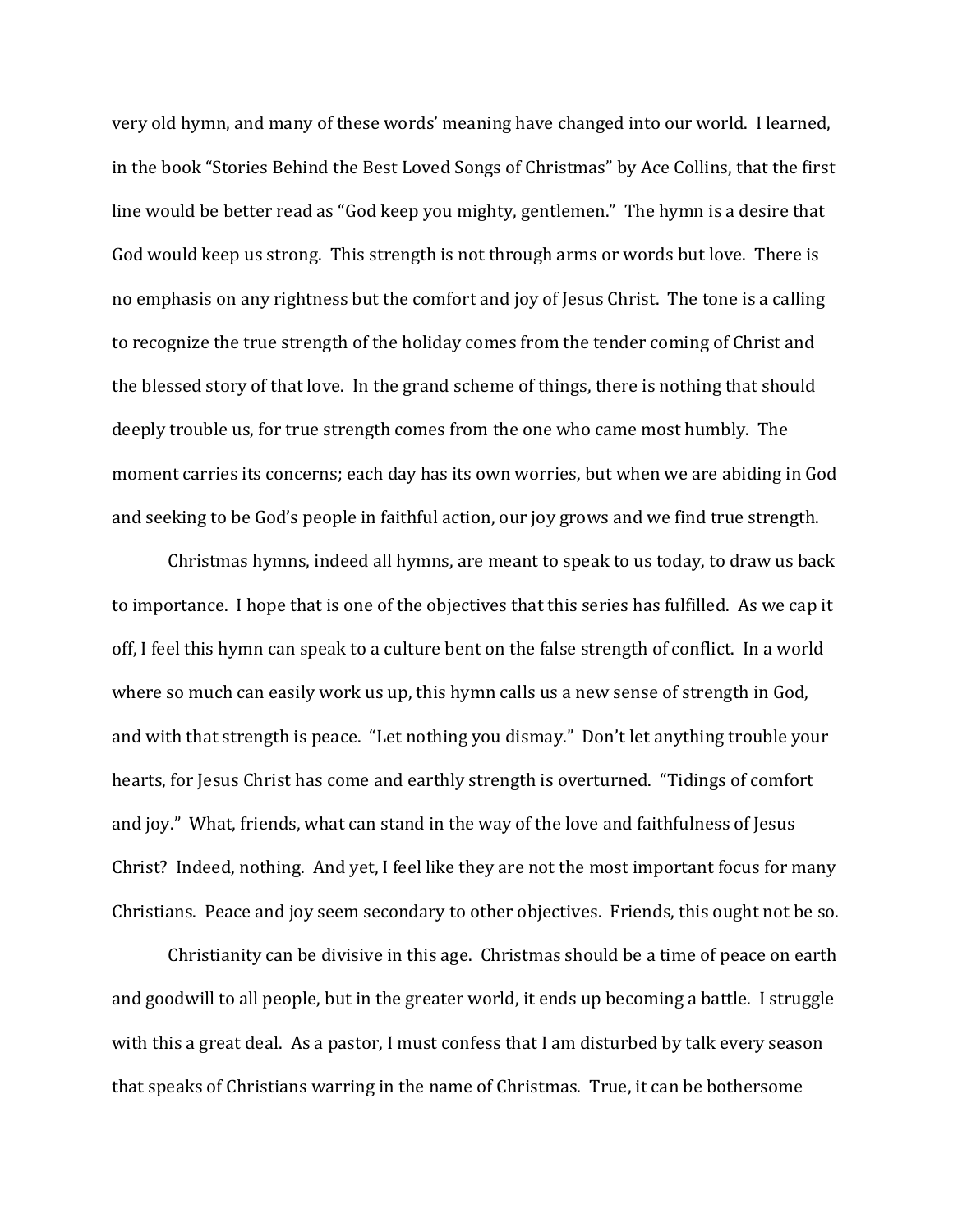very old hymn, and many of these words' meaning have changed into our world. I learned, in the book "Stories Behind the Best Loved Songs of Christmas" by Ace Collins, that the first line would be better read as "God keep you mighty, gentlemen." The hymn is a desire that God would keep us strong. This strength is not through arms or words but love. There is no emphasis on any rightness but the comfort and joy of Jesus Christ. The tone is a calling to recognize the true strength of the holiday comes from the tender coming of Christ and the blessed story of that love. In the grand scheme of things, there is nothing that should deeply trouble us, for true strength comes from the one who came most humbly. The moment carries its concerns; each day has its own worries, but when we are abiding in God and seeking to be God's people in faithful action, our joy grows and we find true strength.

Christmas hymns, indeed all hymns, are meant to speak to us today, to draw us back to importance. I hope that is one of the objectives that this series has fulfilled. As we cap it off, I feel this hymn can speak to a culture bent on the false strength of conflict. In a world where so much can easily work us up, this hymn calls us a new sense of strength in God, and with that strength is peace. "Let nothing you dismay." Don't let anything trouble your hearts, for Jesus Christ has come and earthly strength is overturned. "Tidings of comfort and joy." What, friends, what can stand in the way of the love and faithfulness of Jesus Christ? Indeed, nothing. And yet, I feel like they are not the most important focus for many Christians. Peace and joy seem secondary to other objectives. Friends, this ought not be so.

 Christianity can be divisive in this age. Christmas should be a time of peace on earth and goodwill to all people, but in the greater world, it ends up becoming a battle. I struggle with this a great deal. As a pastor, I must confess that I am disturbed by talk every season that speaks of Christians warring in the name of Christmas. True, it can be bothersome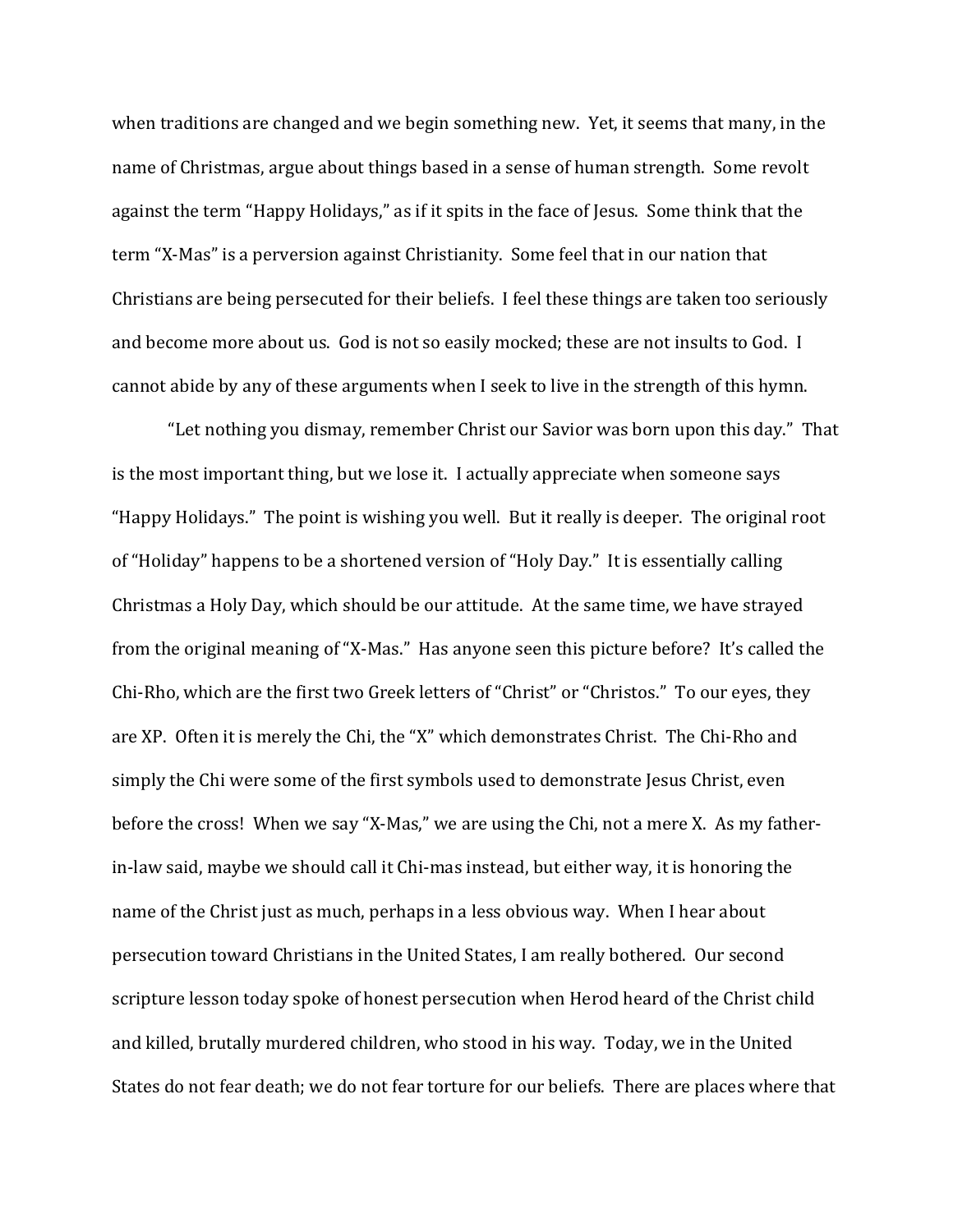when traditions are changed and we begin something new. Yet, it seems that many, in the name of Christmas, argue about things based in a sense of human strength. Some revolt against the term "Happy Holidays," as if it spits in the face of Jesus. Some think that the term "X-Mas" is a perversion against Christianity. Some feel that in our nation that Christians are being persecuted for their beliefs. I feel these things are taken too seriously and become more about us. God is not so easily mocked; these are not insults to God. I cannot abide by any of these arguments when I seek to live in the strength of this hymn.

"Let nothing you dismay, remember Christ our Savior was born upon this day." That is the most important thing, but we lose it. I actually appreciate when someone says "Happy Holidays." The point is wishing you well. But it really is deeper. The original root of "Holiday" happens to be a shortened version of "Holy Day." It is essentially calling Christmas a Holy Day, which should be our attitude. At the same time, we have strayed from the original meaning of "X-Mas." Has anyone seen this picture before? It's called the Chi-Rho, which are the first two Greek letters of "Christ" or "Christos." To our eyes, they are XP. Often it is merely the Chi, the "X" which demonstrates Christ. The Chi-Rho and simply the Chi were some of the first symbols used to demonstrate Jesus Christ, even before the cross! When we say "X-Mas," we are using the Chi, not a mere X. As my fatherin-law said, maybe we should call it Chi-mas instead, but either way, it is honoring the name of the Christ just as much, perhaps in a less obvious way. When I hear about persecution toward Christians in the United States, I am really bothered. Our second scripture lesson today spoke of honest persecution when Herod heard of the Christ child and killed, brutally murdered children, who stood in his way. Today, we in the United States do not fear death; we do not fear torture for our beliefs. There are places where that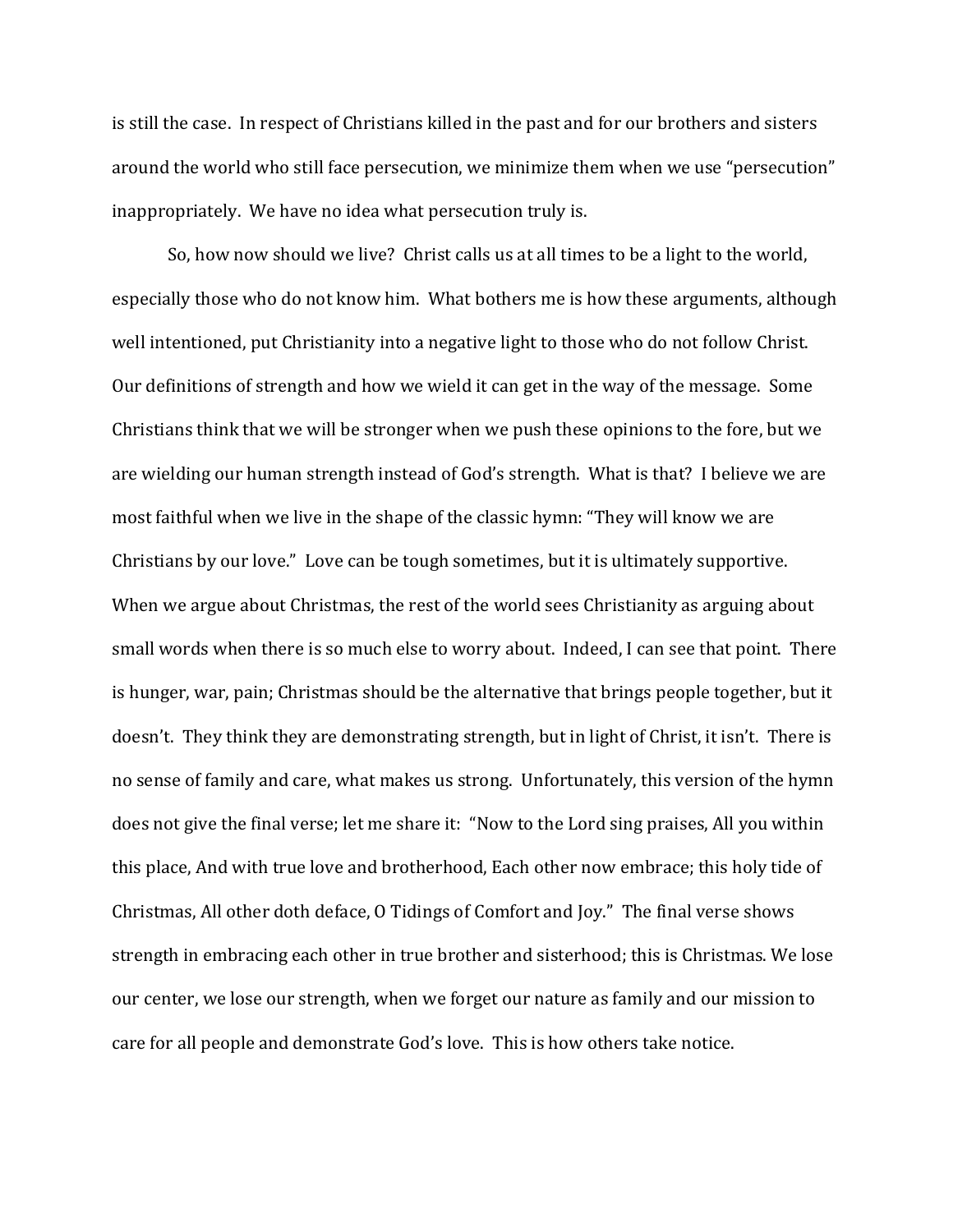is still the case. In respect of Christians killed in the past and for our brothers and sisters around the world who still face persecution, we minimize them when we use "persecution" inappropriately. We have no idea what persecution truly is.

 So, how now should we live? Christ calls us at all times to be a light to the world, especially those who do not know him. What bothers me is how these arguments, although well intentioned, put Christianity into a negative light to those who do not follow Christ. Our definitions of strength and how we wield it can get in the way of the message. Some Christians think that we will be stronger when we push these opinions to the fore, but we are wielding our human strength instead of God's strength. What is that? I believe we are most faithful when we live in the shape of the classic hymn: "They will know we are Christians by our love." Love can be tough sometimes, but it is ultimately supportive. When we argue about Christmas, the rest of the world sees Christianity as arguing about small words when there is so much else to worry about. Indeed, I can see that point. There is hunger, war, pain; Christmas should be the alternative that brings people together, but it doesn't. They think they are demonstrating strength, but in light of Christ, it isn't. There is no sense of family and care, what makes us strong. Unfortunately, this version of the hymn does not give the final verse; let me share it: "Now to the Lord sing praises, All you within this place, And with true love and brotherhood, Each other now embrace; this holy tide of Christmas, All other doth deface, O Tidings of Comfort and Joy." The final verse shows strength in embracing each other in true brother and sisterhood; this is Christmas. We lose our center, we lose our strength, when we forget our nature as family and our mission to care for all people and demonstrate God's love. This is how others take notice.